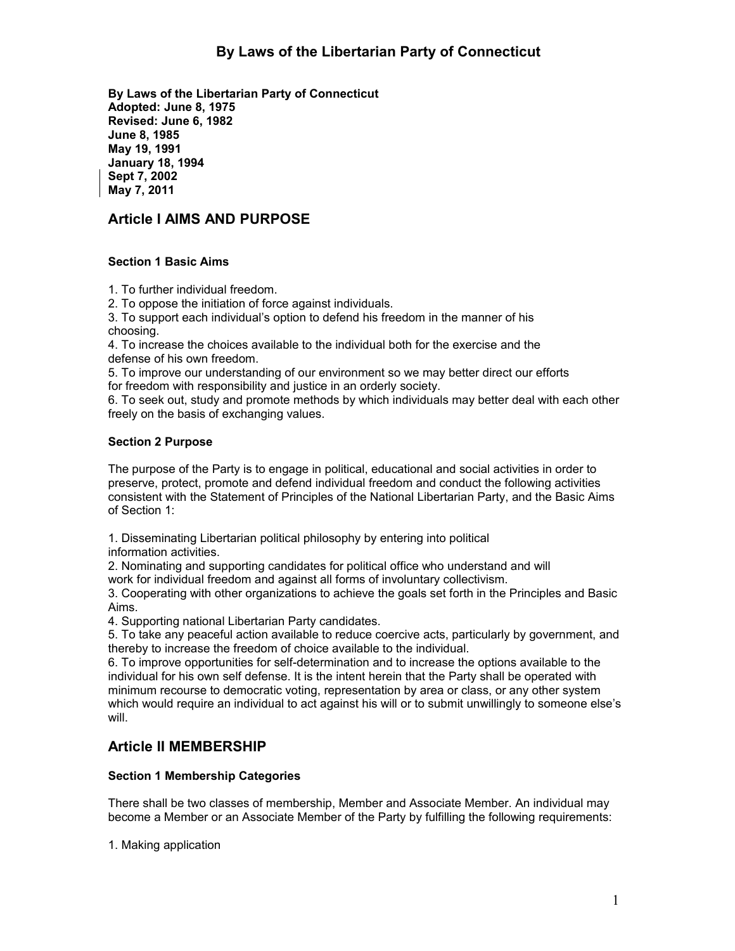**By Laws of the Libertarian Party of Connecticut Adopted: June 8, 1975 Revised: June 6, 1982 June 8, 1985 May 19, 1991 January 18, 1994 Sept 7, 2002 May 7, 2011**

# **Article I AIMS AND PURPOSE**

## **Section 1 Basic Aims**

1. To further individual freedom.

2. To oppose the initiation of force against individuals.

3. To support each individual's option to defend his freedom in the manner of his choosing.

4. To increase the choices available to the individual both for the exercise and the defense of his own freedom.

5. To improve our understanding of our environment so we may better direct our efforts for freedom with responsibility and justice in an orderly society.

6. To seek out, study and promote methods by which individuals may better deal with each other freely on the basis of exchanging values.

## **Section 2 Purpose**

The purpose of the Party is to engage in political, educational and social activities in order to preserve, protect, promote and defend individual freedom and conduct the following activities consistent with the Statement of Principles of the National Libertarian Party, and the Basic Aims of Section 1:

1. Disseminating Libertarian political philosophy by entering into political

information activities.

2. Nominating and supporting candidates for political office who understand and will work for individual freedom and against all forms of involuntary collectivism.

3. Cooperating with other organizations to achieve the goals set forth in the Principles and Basic Aims.

4. Supporting national Libertarian Party candidates.

5. To take any peaceful action available to reduce coercive acts, particularly by government, and thereby to increase the freedom of choice available to the individual.

6. To improve opportunities for self-determination and to increase the options available to the individual for his own self defense. It is the intent herein that the Party shall be operated with minimum recourse to democratic voting, representation by area or class, or any other system which would require an individual to act against his will or to submit unwillingly to someone else's will.

# **Article II MEMBERSHIP**

## **Section 1 Membership Categories**

There shall be two classes of membership, Member and Associate Member. An individual may become a Member or an Associate Member of the Party by fulfilling the following requirements:

1. Making application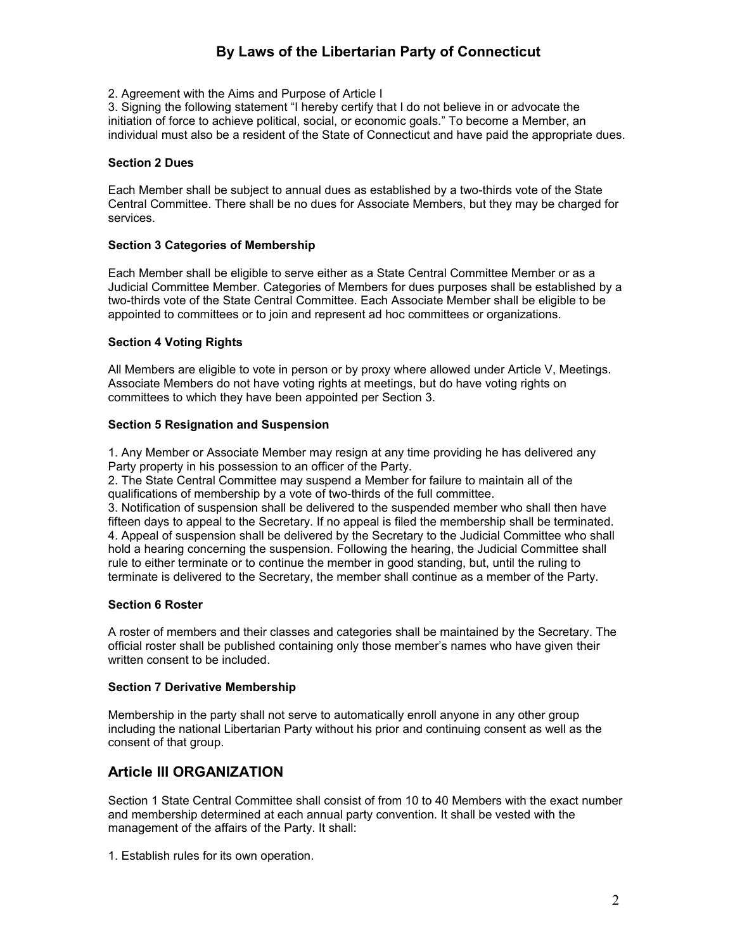2. Agreement with the Aims and Purpose of Article I

3. Signing the following statement "I hereby certify that I do not believe in or advocate the initiation of force to achieve political, social, or economic goals." To become a Member, an individual must also be a resident of the State of Connecticut and have paid the appropriate dues.

#### **Section 2 Dues**

Each Member shall be subject to annual dues as established by a two-thirds vote of the State Central Committee. There shall be no dues for Associate Members, but they may be charged for services.

## **Section 3 Categories of Membership**

Each Member shall be eligible to serve either as a State Central Committee Member or as a Judicial Committee Member. Categories of Members for dues purposes shall be established by a two-thirds vote of the State Central Committee. Each Associate Member shall be eligible to be appointed to committees or to join and represent ad hoc committees or organizations.

## **Section 4 Voting Rights**

All Members are eligible to vote in person or by proxy where allowed under Article V, Meetings. Associate Members do not have voting rights at meetings, but do have voting rights on committees to which they have been appointed per Section 3.

## **Section 5 Resignation and Suspension**

1. Any Member or Associate Member may resign at any time providing he has delivered any Party property in his possession to an officer of the Party.

2. The State Central Committee may suspend a Member for failure to maintain all of the qualifications of membership by a vote of two-thirds of the full committee.

3. Notification of suspension shall be delivered to the suspended member who shall then have fifteen days to appeal to the Secretary. If no appeal is filed the membership shall be terminated. 4. Appeal of suspension shall be delivered by the Secretary to the Judicial Committee who shall hold a hearing concerning the suspension. Following the hearing, the Judicial Committee shall rule to either terminate or to continue the member in good standing, but, until the ruling to terminate is delivered to the Secretary, the member shall continue as a member of the Party.

#### **Section 6 Roster**

A roster of members and their classes and categories shall be maintained by the Secretary. The official roster shall be published containing only those member's names who have given their written consent to be included.

#### **Section 7 Derivative Membership**

Membership in the party shall not serve to automatically enroll anyone in any other group including the national Libertarian Party without his prior and continuing consent as well as the consent of that group.

# **Article III ORGANIZATION**

Section 1 State Central Committee shall consist of from 10 to 40 Members with the exact number and membership determined at each annual party convention. It shall be vested with the management of the affairs of the Party. It shall:

1. Establish rules for its own operation.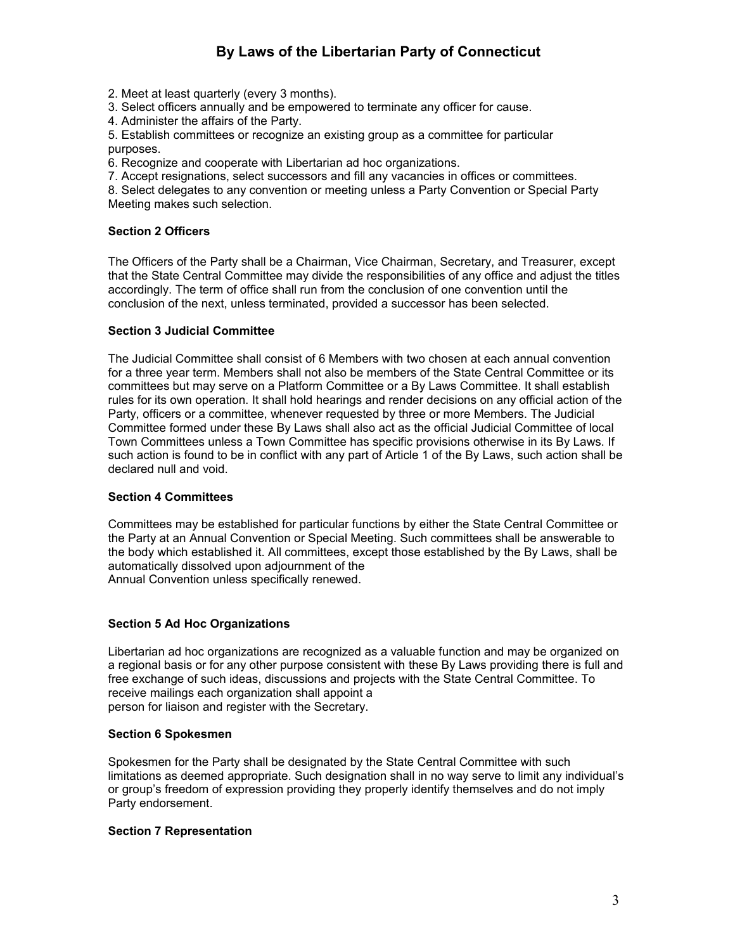2. Meet at least quarterly (every 3 months).

3. Select officers annually and be empowered to terminate any officer for cause.

4. Administer the affairs of the Party.

5. Establish committees or recognize an existing group as a committee for particular purposes.

6. Recognize and cooperate with Libertarian ad hoc organizations.

7. Accept resignations, select successors and fill any vacancies in offices or committees.

8. Select delegates to any convention or meeting unless a Party Convention or Special Party Meeting makes such selection.

## **Section 2 Officers**

The Officers of the Party shall be a Chairman, Vice Chairman, Secretary, and Treasurer, except that the State Central Committee may divide the responsibilities of any office and adjust the titles accordingly. The term of office shall run from the conclusion of one convention until the conclusion of the next, unless terminated, provided a successor has been selected.

## **Section 3 Judicial Committee**

The Judicial Committee shall consist of 6 Members with two chosen at each annual convention for a three year term. Members shall not also be members of the State Central Committee or its committees but may serve on a Platform Committee or a By Laws Committee. It shall establish rules for its own operation. It shall hold hearings and render decisions on any official action of the Party, officers or a committee, whenever requested by three or more Members. The Judicial Committee formed under these By Laws shall also act as the official Judicial Committee of local Town Committees unless a Town Committee has specific provisions otherwise in its By Laws. If such action is found to be in conflict with any part of Article 1 of the By Laws, such action shall be declared null and void.

#### **Section 4 Committees**

Committees may be established for particular functions by either the State Central Committee or the Party at an Annual Convention or Special Meeting. Such committees shall be answerable to the body which established it. All committees, except those established by the By Laws, shall be automatically dissolved upon adjournment of the Annual Convention unless specifically renewed.

## **Section 5 Ad Hoc Organizations**

Libertarian ad hoc organizations are recognized as a valuable function and may be organized on a regional basis or for any other purpose consistent with these By Laws providing there is full and free exchange of such ideas, discussions and projects with the State Central Committee. To receive mailings each organization shall appoint a person for liaison and register with the Secretary.

#### **Section 6 Spokesmen**

Spokesmen for the Party shall be designated by the State Central Committee with such limitations as deemed appropriate. Such designation shall in no way serve to limit any individual's or group's freedom of expression providing they properly identify themselves and do not imply Party endorsement.

#### **Section 7 Representation**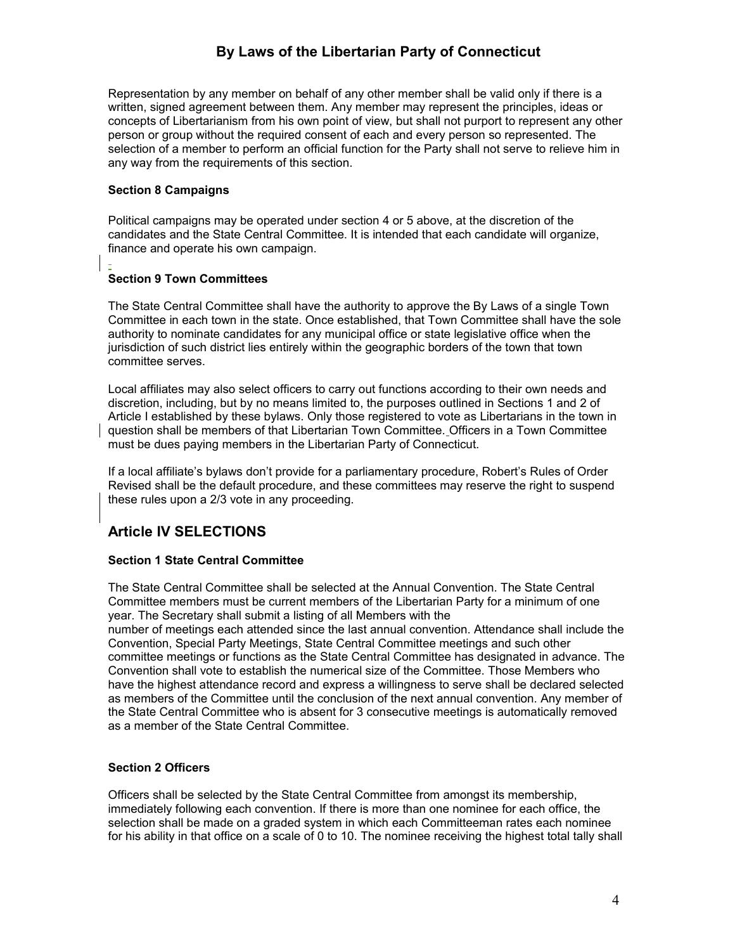Representation by any member on behalf of any other member shall be valid only if there is a written, signed agreement between them. Any member may represent the principles, ideas or concepts of Libertarianism from his own point of view, but shall not purport to represent any other person or group without the required consent of each and every person so represented. The selection of a member to perform an official function for the Party shall not serve to relieve him in any way from the requirements of this section.

## **Section 8 Campaigns**

Political campaigns may be operated under section 4 or 5 above, at the discretion of the candidates and the State Central Committee. It is intended that each candidate will organize, finance and operate his own campaign.

## **Section 9 Town Committees**

The State Central Committee shall have the authority to approve the By Laws of a single Town Committee in each town in the state. Once established, that Town Committee shall have the sole authority to nominate candidates for any municipal office or state legislative office when the jurisdiction of such district lies entirely within the geographic borders of the town that town committee serves.

Local affiliates may also select officers to carry out functions according to their own needs and discretion, including, but by no means limited to, the purposes outlined in Sections 1 and 2 of Article I established by these bylaws. Only those registered to vote as Libertarians in the town in question shall be members of that Libertarian Town Committee. Officers in a Town Committee must be dues paying members in the Libertarian Party of Connecticut.

If a local affiliate's bylaws don't provide for a parliamentary procedure, Robert's Rules of Order Revised shall be the default procedure, and these committees may reserve the right to suspend these rules upon a 2/3 vote in any proceeding.

# **Article IV SELECTIONS**

## **Section 1 State Central Committee**

The State Central Committee shall be selected at the Annual Convention. The State Central Committee members must be current members of the Libertarian Party for a minimum of one year. The Secretary shall submit a listing of all Members with the number of meetings each attended since the last annual convention. Attendance shall include the Convention, Special Party Meetings, State Central Committee meetings and such other committee meetings or functions as the State Central Committee has designated in advance. The Convention shall vote to establish the numerical size of the Committee. Those Members who have the highest attendance record and express a willingness to serve shall be declared selected as members of the Committee until the conclusion of the next annual convention. Any member of the State Central Committee who is absent for 3 consecutive meetings is automatically removed as a member of the State Central Committee.

#### **Section 2 Officers**

Officers shall be selected by the State Central Committee from amongst its membership, immediately following each convention. If there is more than one nominee for each office, the selection shall be made on a graded system in which each Committeeman rates each nominee for his ability in that office on a scale of 0 to 10. The nominee receiving the highest total tally shall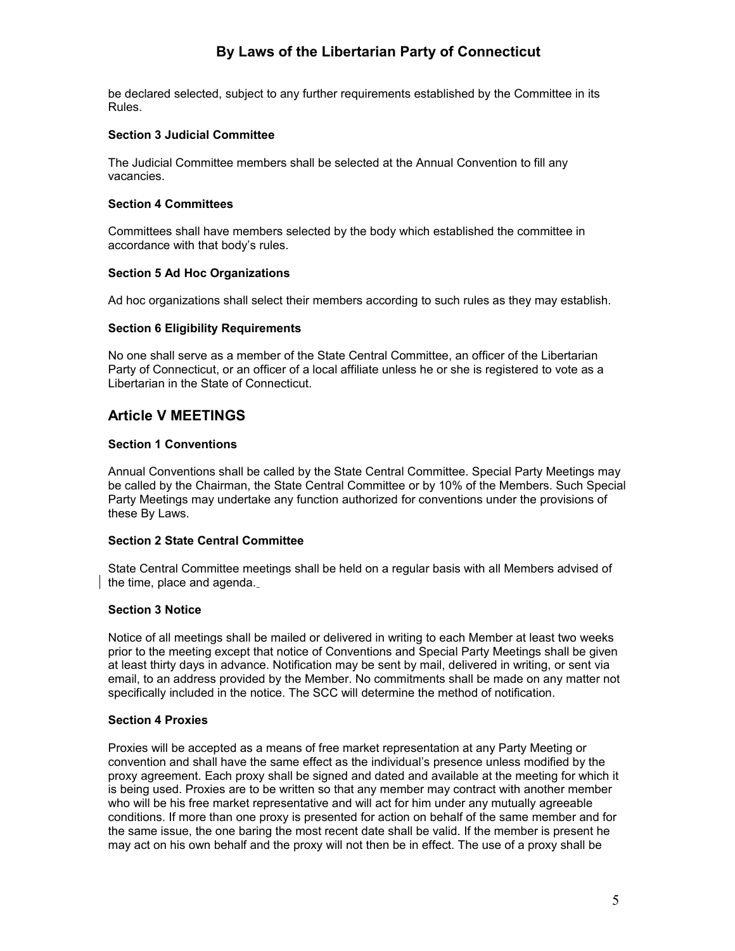be declared selected, subject to any further requirements established by the Committee in its Rules.

## **Section 3 Judicial Committee**

The Judicial Committee members shall be selected at the Annual Convention to fill any vacancies.

#### **Section 4 Committees**

Committees shall have members selected by the body which established the committee in accordance with that body's rules.

## **Section 5 Ad Hoc Organizations**

Ad hoc organizations shall select their members according to such rules as they may establish.

## **Section 6 Eligibility Requirements**

No one shall serve as a member of the State Central Committee, an officer of the Libertarian Party of Connecticut, or an officer of a local affiliate unless he or she is registered to vote as a Libertarian in the State of Connecticut.

## **Article V MEETINGS**

## **Section 1 Conventions**

Annual Conventions shall be called by the State Central Committee. Special Party Meetings may be called by the Chairman, the State Central Committee or by 10% of the Members. Such Special Party Meetings may undertake any function authorized for conventions under the provisions of these By Laws.

## **Section 2 State Central Committee**

State Central Committee meetings shall be held on a regular basis with all Members advised of the time, place and agenda.

## **Section 3 Notice**

Notice of all meetings shall be mailed or delivered in writing to each Member at least two weeks prior to the meeting except that notice of Conventions and Special Party Meetings shall be given at least thirty days in advance. Notification may be sent by mail, delivered in writing, or sent via email, to an address provided by the Member. No commitments shall be made on any matter not specifically included in the notice. The SCC will determine the method of notification.

#### **Section 4 Proxies**

Proxies will be accepted as a means of free market representation at any Party Meeting or convention and shall have the same effect as the individual's presence unless modified by the proxy agreement. Each proxy shall be signed and dated and available at the meeting for which it is being used. Proxies are to be written so that any member may contract with another member who will be his free market representative and will act for him under any mutually agreeable conditions. If more than one proxy is presented for action on behalf of the same member and for the same issue, the one baring the most recent date shall be valid. If the member is present he may act on his own behalf and the proxy will not then be in effect. The use of a proxy shall be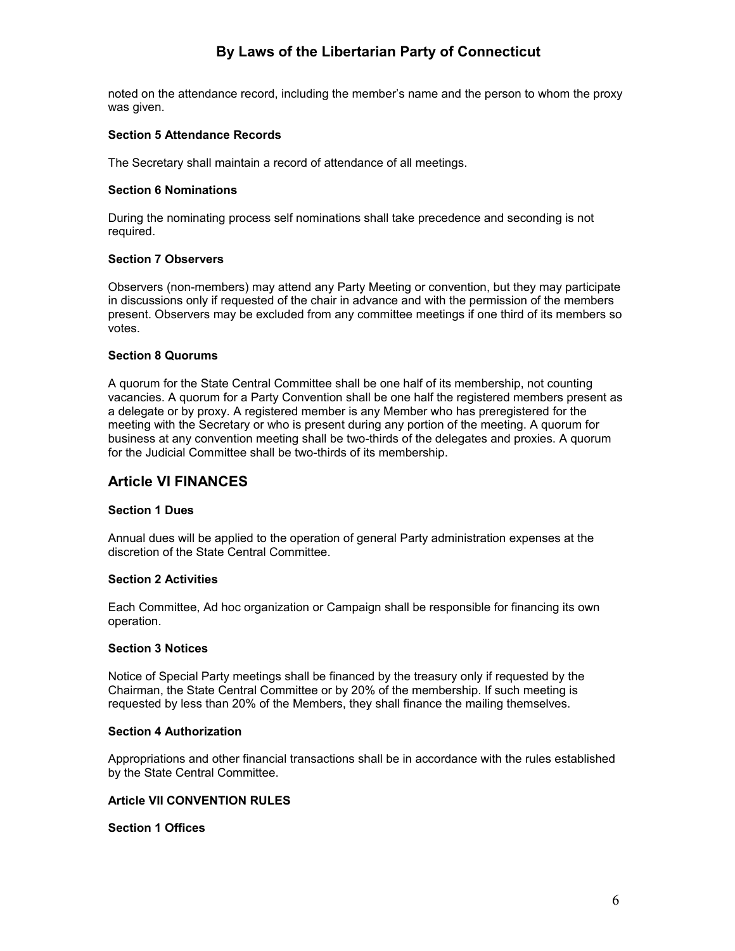noted on the attendance record, including the member's name and the person to whom the proxy was given.

#### **Section 5 Attendance Records**

The Secretary shall maintain a record of attendance of all meetings.

#### **Section 6 Nominations**

During the nominating process self nominations shall take precedence and seconding is not required.

## **Section 7 Observers**

Observers (non-members) may attend any Party Meeting or convention, but they may participate in discussions only if requested of the chair in advance and with the permission of the members present. Observers may be excluded from any committee meetings if one third of its members so votes.

#### **Section 8 Quorums**

A quorum for the State Central Committee shall be one half of its membership, not counting vacancies. A quorum for a Party Convention shall be one half the registered members present as a delegate or by proxy. A registered member is any Member who has preregistered for the meeting with the Secretary or who is present during any portion of the meeting. A quorum for business at any convention meeting shall be two-thirds of the delegates and proxies. A quorum for the Judicial Committee shall be two-thirds of its membership.

## **Article VI FINANCES**

#### **Section 1 Dues**

Annual dues will be applied to the operation of general Party administration expenses at the discretion of the State Central Committee.

#### **Section 2 Activities**

Each Committee, Ad hoc organization or Campaign shall be responsible for financing its own operation.

#### **Section 3 Notices**

Notice of Special Party meetings shall be financed by the treasury only if requested by the Chairman, the State Central Committee or by 20% of the membership. If such meeting is requested by less than 20% of the Members, they shall finance the mailing themselves.

#### **Section 4 Authorization**

Appropriations and other financial transactions shall be in accordance with the rules established by the State Central Committee.

#### **Article VII CONVENTION RULES**

#### **Section 1 Offices**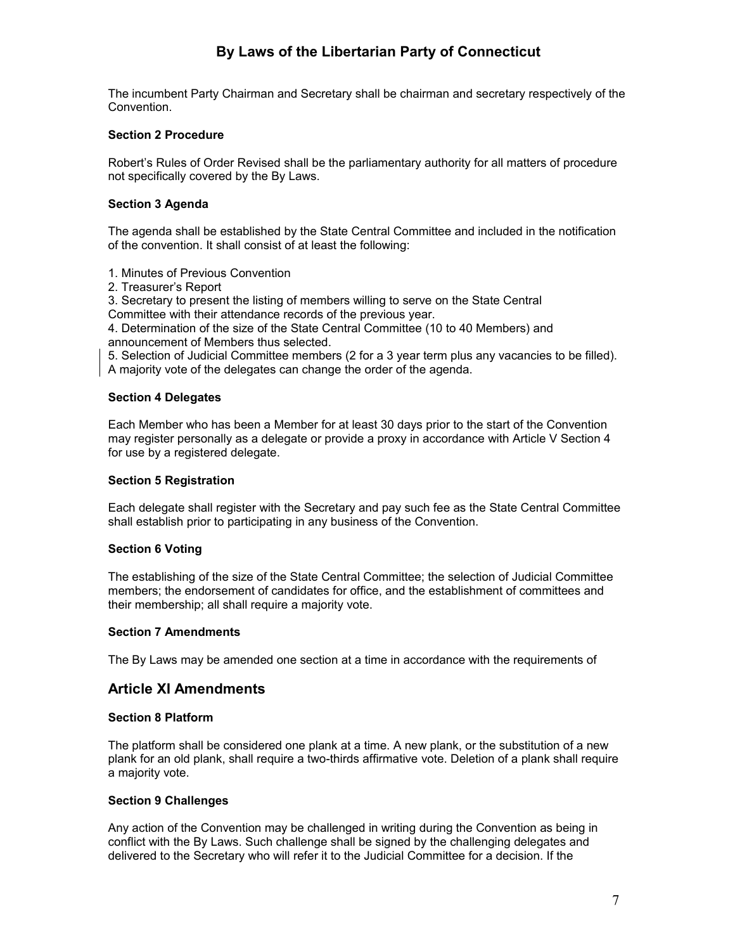The incumbent Party Chairman and Secretary shall be chairman and secretary respectively of the Convention.

## **Section 2 Procedure**

Robert's Rules of Order Revised shall be the parliamentary authority for all matters of procedure not specifically covered by the By Laws.

## **Section 3 Agenda**

The agenda shall be established by the State Central Committee and included in the notification of the convention. It shall consist of at least the following:

1. Minutes of Previous Convention

2. Treasurer's Report

3. Secretary to present the listing of members willing to serve on the State Central

Committee with their attendance records of the previous year.

4. Determination of the size of the State Central Committee (10 to 40 Members) and announcement of Members thus selected.

5. Selection of Judicial Committee members (2 for a 3 year term plus any vacancies to be filled). A majority vote of the delegates can change the order of the agenda.

## **Section 4 Delegates**

Each Member who has been a Member for at least 30 days prior to the start of the Convention may register personally as a delegate or provide a proxy in accordance with Article V Section 4 for use by a registered delegate.

#### **Section 5 Registration**

Each delegate shall register with the Secretary and pay such fee as the State Central Committee shall establish prior to participating in any business of the Convention.

## **Section 6 Voting**

The establishing of the size of the State Central Committee; the selection of Judicial Committee members; the endorsement of candidates for office, and the establishment of committees and their membership; all shall require a majority vote.

#### **Section 7 Amendments**

The By Laws may be amended one section at a time in accordance with the requirements of

## **Article XI Amendments**

#### **Section 8 Platform**

The platform shall be considered one plank at a time. A new plank, or the substitution of a new plank for an old plank, shall require a two-thirds affirmative vote. Deletion of a plank shall require a majority vote.

#### **Section 9 Challenges**

Any action of the Convention may be challenged in writing during the Convention as being in conflict with the By Laws. Such challenge shall be signed by the challenging delegates and delivered to the Secretary who will refer it to the Judicial Committee for a decision. If the